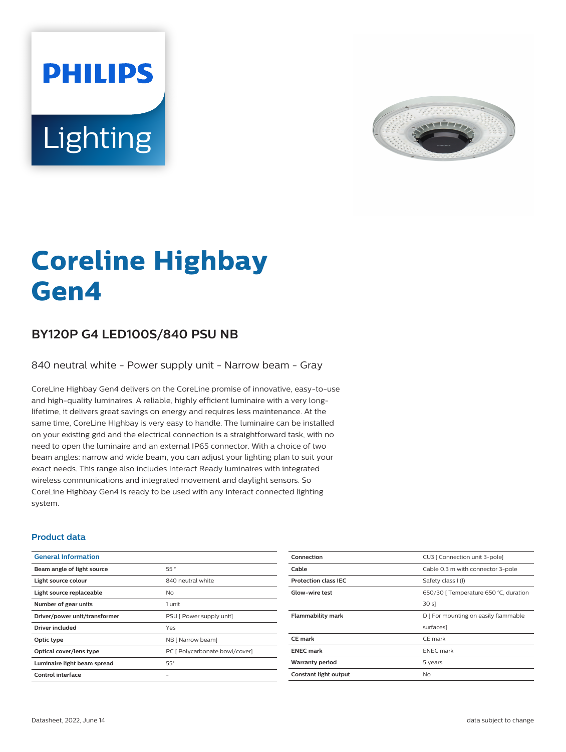



# **Coreline Highbay Gen4**

## **BY120P G4 LED100S/840 PSU NB**

840 neutral white - Power supply unit - Narrow beam - Gray

CoreLine Highbay Gen4 delivers on the CoreLine promise of innovative, easy-to-use and high-quality luminaires. A reliable, highly efficient luminaire with a very longlifetime, it delivers great savings on energy and requires less maintenance. At the same time, CoreLine Highbay is very easy to handle. The luminaire can be installed on your existing grid and the electrical connection is a straightforward task, with no need to open the luminaire and an external IP65 connector. With a choice of two beam angles: narrow and wide beam, you can adjust your lighting plan to suit your exact needs. This range also includes Interact Ready luminaires with integrated wireless communications and integrated movement and daylight sensors. So CoreLine Highbay Gen4 is ready to be used with any Interact connected lighting system.

#### **Product data**

| <b>General Information</b>    |                                |
|-------------------------------|--------------------------------|
| Beam angle of light source    | 55°                            |
| Light source colour           | 840 neutral white              |
| Light source replaceable      | No.                            |
| Number of gear units          | 1 unit                         |
| Driver/power unit/transformer | PSU [ Power supply unit]       |
| Driver included               | Yes                            |
| Optic type                    | NB [ Narrow beam]              |
| Optical cover/lens type       | PC [ Polycarbonate bowl/cover] |
| Luminaire light beam spread   | $55^\circ$                     |
| Control interface             |                                |

| CU3   Connection unit 3-pole]         |
|---------------------------------------|
| Cable 0.3 m with connector 3-pole     |
| Safety class I (I)                    |
| 650/30   Temperature 650 °C, duration |
| 30 s                                  |
| D   For mounting on easily flammable  |
| surfaces]                             |
| CE mark                               |
| <b>ENEC</b> mark                      |
| 5 years                               |
| No                                    |
|                                       |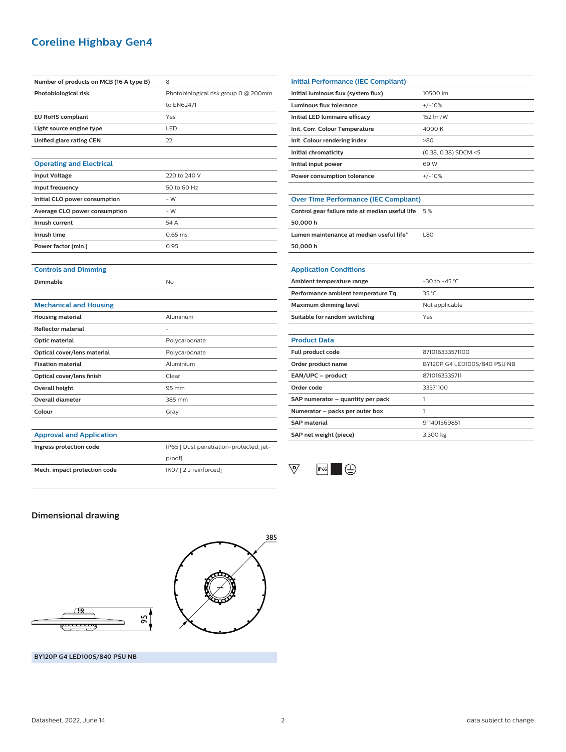## **Coreline Highbay Gen4**

| Number of products on MCB (16 A type B) | 8                                       |
|-----------------------------------------|-----------------------------------------|
| Photobiological risk                    | Photobiological risk group 0 @ 200mm    |
|                                         | to EN62471                              |
| <b>EU RoHS compliant</b>                | Yes                                     |
| Light source engine type                | LED                                     |
| Unified glare rating CEN                | 22                                      |
|                                         |                                         |
| <b>Operating and Electrical</b>         |                                         |
| <b>Input Voltage</b>                    | 220 to 240 V                            |
| Input frequency                         | 50 to 60 Hz                             |
| Initial CLO power consumption           | $-W$                                    |
| Average CLO power consumption           | $-W$                                    |
| Inrush current                          | 54 A                                    |
| Inrush time                             | $0.65$ ms                               |
| Power factor (min.)                     | 0.95                                    |
|                                         |                                         |
| <b>Controls and Dimming</b>             |                                         |
| <b>Dimmable</b>                         | No                                      |
|                                         |                                         |
| <b>Mechanical and Housing</b>           |                                         |
| <b>Housing material</b>                 | Aluminum                                |
| <b>Reflector material</b>               |                                         |
| <b>Optic material</b>                   | Polycarbonate                           |
| Optical cover/lens material             | Polycarbonate                           |
| <b>Fixation material</b>                | Aluminium                               |
| Optical cover/lens finish               | Clear                                   |
| <b>Overall height</b>                   | 95 mm                                   |
| <b>Overall diameter</b>                 | 385 mm                                  |
| Colour                                  | Gray                                    |
|                                         |                                         |
| <b>Approval and Application</b>         |                                         |
| Ingress protection code                 | IP65 [ Dust penetration-protected, jet- |
|                                         | proof]                                  |
| Mech. impact protection code            | IK07 [2 J reinforced]                   |
|                                         |                                         |

| <b>Initial Performance (IEC Compliant)</b>      |                              |  |
|-------------------------------------------------|------------------------------|--|
| Initial luminous flux (system flux)             | 10500 lm                     |  |
| <b>Luminous flux tolerance</b>                  | $+/-10%$                     |  |
| Initial LED luminaire efficacy                  | 152 lm/W                     |  |
| Init. Corr. Colour Temperature                  | 4000 K                       |  |
| Init. Colour rendering index                    | $-80$                        |  |
| Initial chromaticity                            | (0.38, 0.38) SDCM <5         |  |
| Initial input power                             | 69 W                         |  |
| Power consumption tolerance                     | $+/-10%$                     |  |
|                                                 |                              |  |
| <b>Over Time Performance (IEC Compliant)</b>    |                              |  |
| Control gear failure rate at median useful life | 5%                           |  |
| 50,000 h                                        |                              |  |
| Lumen maintenance at median useful life*        | L80                          |  |
| 50,000 h                                        |                              |  |
|                                                 |                              |  |
| <b>Application Conditions</b>                   |                              |  |
| Ambient temperature range                       | $-30$ to $+45$ °C            |  |
| Performance ambient temperature Tq              | 35 °C                        |  |
| <b>Maximum dimming level</b>                    | Not applicable               |  |
| Suitable for random switching                   | Yes                          |  |
|                                                 |                              |  |
| <b>Product Data</b>                             |                              |  |
| Full product code                               | 871016333571100              |  |
| Order product name                              | BY120P G4 LED100S/840 PSU NB |  |
| EAN/UPC - product                               | 8710163335711                |  |
| Order code                                      | 33571100                     |  |
| SAP numerator - quantity per pack               | 1                            |  |
| Numerator - packs per outer box                 | 1                            |  |
| <b>SAP material</b>                             | 911401569851                 |  |
| SAP net weight (piece)                          | 3.300 kg                     |  |



#### **Dimensional drawing**





**BY120P G4 LED100S/840 PSU NB**